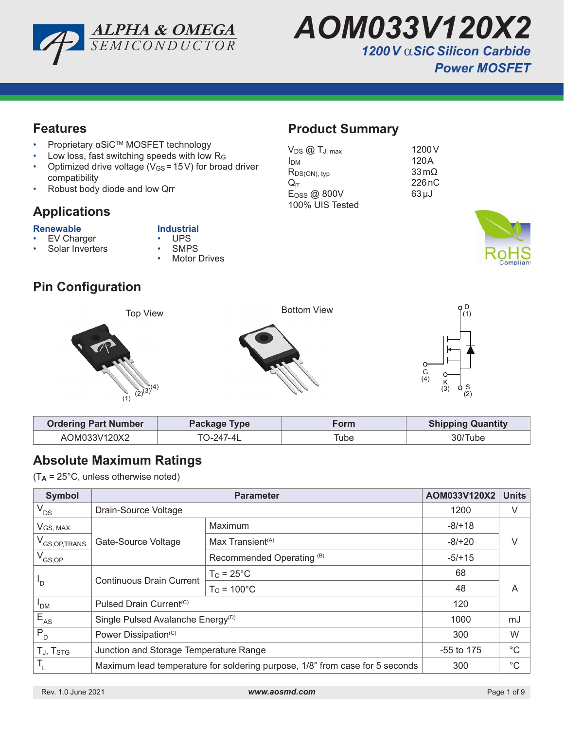



**Product Summary**

 $R_{DS(ON), typ}$ 

100% UIS Tested

 $V_{DS}$   $\omega$   $T_{J, max}$  1200 V  $I_{DM}$  120A<br>  $R_{DS(ON). \, \text{two}}$  33 m $\Omega$ 

 $Q_{rr}$  226 nC  $E$ <sub>OSS</sub> @ 800V 63µJ

### **Features**

- Proprietary αSiC<sup>TM</sup> MOSFET technology
- Low loss, fast switching speeds with low R<sub>G</sub>
- Optimized drive voltage ( $V_{GS}$  = 15V) for broad driver compatibility
- Robust body diode and low Qrr

# **Applications**

- **Renewable Industrial**<br> **•** EV Charger **•** UPS EV Charger • UPS<br>Solar Inverters • SMPS
	-
	- Solar Inverters
- **Motor Drives**

# **Pin Configuration**



| <b>Ordering Part Number</b> | Package Type | Form | <b>Shipping Quantity</b> |
|-----------------------------|--------------|------|--------------------------|
| AOM033V120X2                | TO-247-4L    | Гube | 30/Tube                  |

# **Absolute Maximum Ratings**

(T**A** = 25°C, unless otherwise noted)

| <b>Symbol</b>              |                                                                              | AOM033V120X2                 | <b>Units</b> |   |  |
|----------------------------|------------------------------------------------------------------------------|------------------------------|--------------|---|--|
| $V_{DS}$                   | Drain-Source Voltage                                                         | 1200                         | V            |   |  |
| VGS, MAX                   |                                                                              | Maximum                      | $-8/+18$     |   |  |
| V <sub>GS, OP, TRANS</sub> | Gate-Source Voltage                                                          | Max Transient <sup>(A)</sup> | $-8/+20$     |   |  |
| $V_{GS,OP}$                |                                                                              | Recommended Operating (B)    | $-5/+15$     |   |  |
| 'D                         | <b>Continuous Drain Current</b>                                              | $T_c = 25^{\circ}C$          | 68           |   |  |
|                            |                                                                              | $T_c = 100^{\circ}$ C        | 48           | A |  |
| <b>PDM</b>                 | Pulsed Drain Current <sup>(C)</sup>                                          | 120                          |              |   |  |
| $E_{AS}$                   | Single Pulsed Avalanche Energy <sup>(D)</sup>                                | 1000                         | mJ           |   |  |
| $P_{D}$                    | Power Dissipation <sup>(C)</sup>                                             | 300                          | W            |   |  |
| TJ, T <sub>STG</sub>       | Junction and Storage Temperature Range                                       | $-55$ to 175                 | $^{\circ}C$  |   |  |
| $\mathsf{T}_{\mathsf{L}}$  | Maximum lead temperature for soldering purpose, 1/8" from case for 5 seconds | 300                          | $^{\circ}C$  |   |  |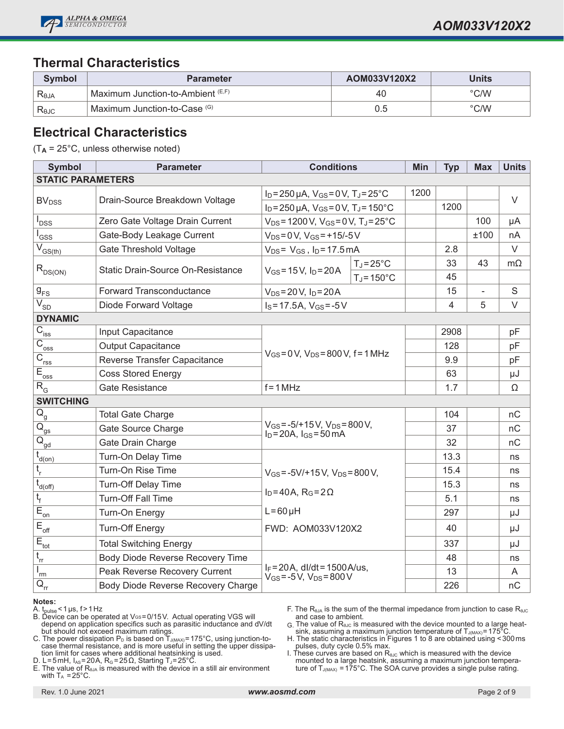

#### **Thermal Characteristics**

| Symbol           | <b>Parameter</b>                     | AOM033V120X2 | <b>Units</b>  |
|------------------|--------------------------------------|--------------|---------------|
| R <sub>eja</sub> | Maximum Junction-to-Ambient $(E, F)$ | 40           | $\degree$ C/W |
| $R_{\theta$ JC   | Maximum Junction-to-Case (G)         | 0.5          | $\degree$ C/W |

#### **Electrical Characteristics**

(T**A** = 25°C, unless otherwise noted)

| <b>Symbol</b>                               | <b>Parameter</b>                   | <b>Conditions</b>                                                                                                     |                      | Min  | <b>Typ</b>     | <b>Max</b> | <b>Units</b> |
|---------------------------------------------|------------------------------------|-----------------------------------------------------------------------------------------------------------------------|----------------------|------|----------------|------------|--------------|
| <b>STATIC PARAMETERS</b>                    |                                    |                                                                                                                       |                      |      |                |            |              |
|                                             | Drain-Source Breakdown Voltage     | $I_D = 250 \mu A$ , $V_{GS} = 0 V$ , $T_J = 25^{\circ}C$<br>$I_D = 250 \mu A$ , $V_{GS} = 0 V$ , $T_J = 150^{\circ}C$ |                      | 1200 |                |            | $\vee$       |
| <b>BV</b> <sub>DSS</sub>                    |                                    |                                                                                                                       |                      |      | 1200           |            |              |
| <b>DSS</b>                                  | Zero Gate Voltage Drain Current    | $V_{DS} = 1200 V$ , $V_{GS} = 0 V$ , $T_J = 25$ °C                                                                    |                      |      |                | 100        | μA           |
| $I_{GSS}$                                   | Gate-Body Leakage Current          | $V_{DS} = 0 V$ , $V_{GS} = +15/-5 V$                                                                                  |                      |      |                | ±100       | nA           |
| $\overline{V}_{GS(th)}$                     | <b>Gate Threshold Voltage</b>      | $V_{DS} = V_{GS}$ , $I_D = 17.5$ mA                                                                                   |                      |      | 2.8            |            | $\vee$       |
| $R_{DS(ON)}$                                | Static Drain-Source On-Resistance  | $V_{GS} = 15 V$ , $I_D = 20 A$                                                                                        | $T_J = 25^{\circ}C$  |      | 33             | 43         | $m\Omega$    |
|                                             |                                    |                                                                                                                       | $T_J = 150^{\circ}C$ |      | 45             |            |              |
| $g_{\rm FS}$                                | <b>Forward Transconductance</b>    | $V_{DS} = 20 V$ , $I_D = 20 A$                                                                                        |                      |      | 15             | ÷,         | S            |
| $V_{SD}$                                    | Diode Forward Voltage              | $I_S = 17.5A$ , $V_{GS} = -5V$                                                                                        |                      |      | $\overline{4}$ | 5          | $\vee$       |
| <b>DYNAMIC</b>                              |                                    |                                                                                                                       |                      |      |                |            |              |
| $C_{\text{iss}}$                            | Input Capacitance                  |                                                                                                                       |                      |      | 2908           |            | pF           |
| $\overline{C}_{\underline{oss}}$            | <b>Output Capacitance</b>          |                                                                                                                       |                      | 128  |                | pF         |              |
| $\overline{C}_{\underline{rss}}$            | Reverse Transfer Capacitance       | $V_{GS} = 0 V$ , $V_{DS} = 800 V$ , f = 1 MHz                                                                         |                      | 9.9  |                | pF         |              |
| $E_{\underline{oss}}$                       | <b>Coss Stored Energy</b>          |                                                                                                                       |                      | 63   |                | μJ         |              |
| $R_{G}$                                     | <b>Gate Resistance</b>             | $f = 1 MHz$                                                                                                           |                      | 1.7  |                | Ω          |              |
| <b>SWITCHING</b>                            |                                    |                                                                                                                       |                      |      |                |            |              |
| $\overline{Q}_g$                            | <b>Total Gate Charge</b>           | $V_{GS} = -5/+15 V$ , $V_{DS} = 800 V$ ,<br>$I_D = 20A$ , $I_{GS} = 50$ mA                                            |                      |      | 104            |            | nC           |
| $\overline{\mathsf{Q}}_{\mathsf{gs}}$       | Gate Source Charge                 |                                                                                                                       |                      |      | 37             |            | nC           |
| $\overline{Q}_{\underline{gd}}$             | Gate Drain Charge                  |                                                                                                                       |                      |      | 32             |            | nC           |
| $t_{\underline{d}(on)}$                     | Turn-On Delay Time                 |                                                                                                                       |                      |      | 13.3           |            | ns           |
| $\mathfrak{t}_{\rm r}$                      | Turn-On Rise Time                  | $V_{GS} = -5V/ + 15V$ , $V_{DS} = 800V$ ,                                                                             |                      |      | 15.4           |            | ns           |
| $\bar{t}_{\underline{d(\text{off})}}$       | <b>Turn-Off Delay Time</b>         |                                                                                                                       |                      |      | 15.3           |            | ns           |
| $t_{\rm f}$                                 | <b>Turn-Off Fall Time</b>          | $I_D = 40A$ , $R_G = 2\Omega$                                                                                         |                      |      | 5.1            |            | ns           |
| $\overline{E}_{\underline{on}}$             | Turn-On Energy                     | $L = 60 \mu H$                                                                                                        |                      |      | 297            |            | μJ           |
| $\mathsf{E}_{\mathsf{off}}$                 | <b>Turn-Off Energy</b>             | FWD: AOM033V120X2                                                                                                     |                      |      | 40             |            | μJ           |
| $\overline{E}_{\underline{tot}}$            | <b>Total Switching Energy</b>      |                                                                                                                       |                      |      | 337            |            | μJ           |
| $t_{rr}$                                    | Body Diode Reverse Recovery Time   | $I_F = 20A$ , dl/dt = 1500A/us,<br>$V_{GS} = -5V$ , $V_{DS} = 800V$                                                   |                      |      | 48             |            | ns           |
| $I_{rm}$                                    | Peak Reverse Recovery Current      |                                                                                                                       |                      |      | 13             |            | A            |
| $\overline{Q}_{\underline{r}\underline{r}}$ | Body Diode Reverse Recovery Charge |                                                                                                                       |                      |      | 226            |            | nC           |

#### **Notes:**

- A. t<sub>pulse</sub><1 µs, f>1 Hz<br>B. Device can be operated at Vಣ=0/15 V. Actual operating VGS will depend on application specifics such as parasitic inductance and dV/dt but should not exceed maximum ratings.
- C. The power dissipation  $P_D$  is based on  $T_{J(MAX)}$ =175°C, using junction-tocase thermal resistance, and is more useful in setting the upper dissipation limit for cases where additional heatsinking is used.

D. L=5mH, I<sub>As</sub>=20A, R<sub>G</sub>=25Ω, Starting Tյ=25°C.

E. The value of  $R_{\theta JA}$  is measured with the device in a still air environment with  $T_A = 25^{\circ}$ C.

F. The R<sub>θJA</sub> is the sum of the thermal impedance from junction to case R<sub>θJC</sub> and case to ambient.

- $G$ . The value of R<sub>θJC</sub> is measured with the device mounted to a large heat-<br>sink, assuming a maximum junction temperature of Tآررامین = 175°C.
- H. The static characteristics in Figures 1 to 8 are obtained using <300ms pulses, duty cycle 0.5% max.

I. These curves are based on  $R_{\theta$ Jc which is measured with the device mounted to a large heatsink, assuming a maximum junction temperature of T $_{\text{J(MAX)}}$  =175°C. The SOA curve provides a single pulse rating.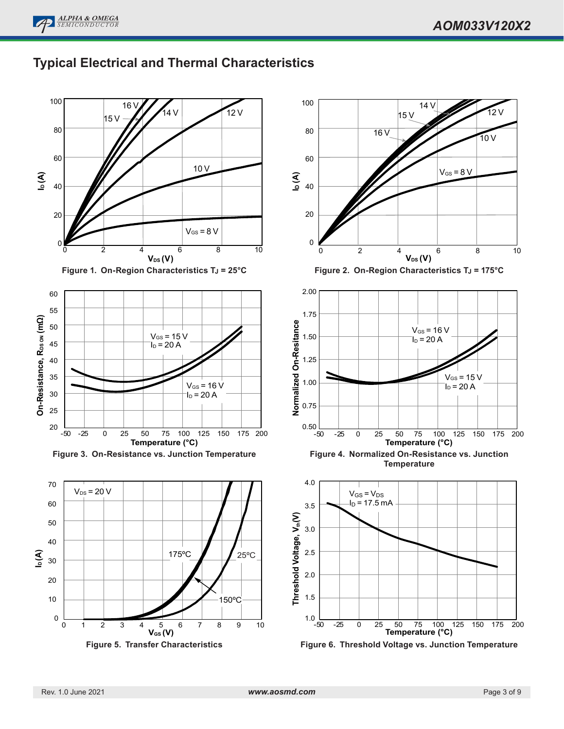



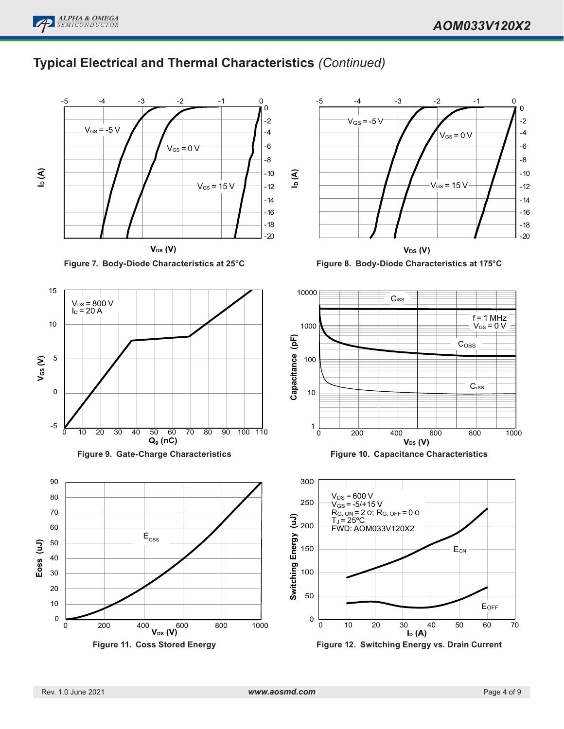

**ALPHA & OMEGA** *SEMICONDUCTOR*

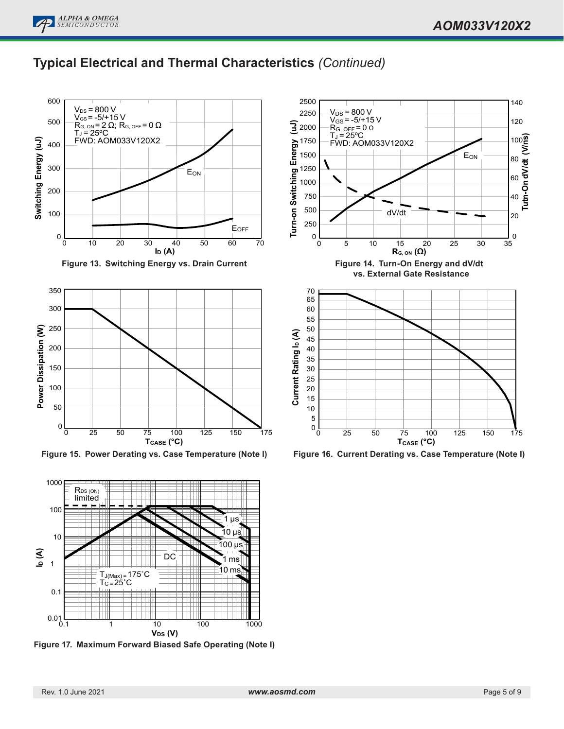# **Typical Electrical and Thermal Characteristics** *(Continued)*



**Figure 13. Switching Energy vs. Drain Current**



**Figure 15. Power Derating vs. Case Temperature (Note I)**



**Figure 17. Maximum Forward Biased Safe Operating (Note I)**



**Figure 16. Current Derating vs. Case Temperature (Note I)**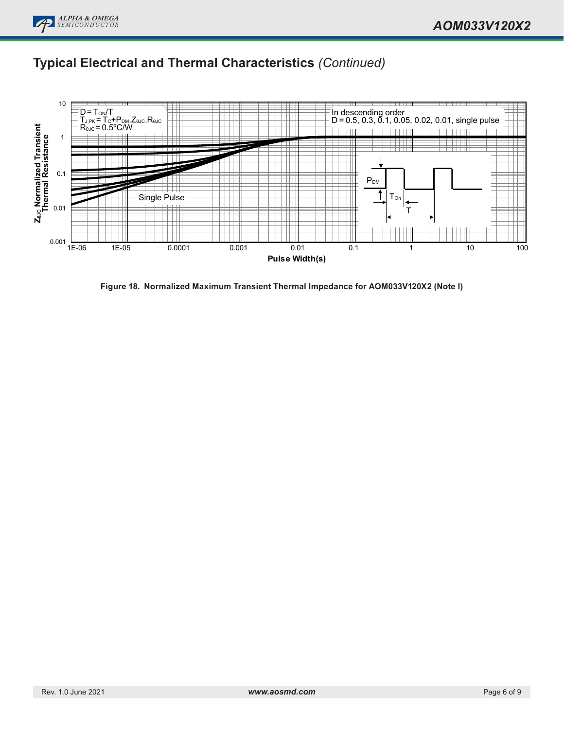# **Typical Electrical and Thermal Characteristics** *(Continued)*



**Figure 18. Normalized Maximum Transient Thermal Impedance for AOM033V120X2 (Note I)**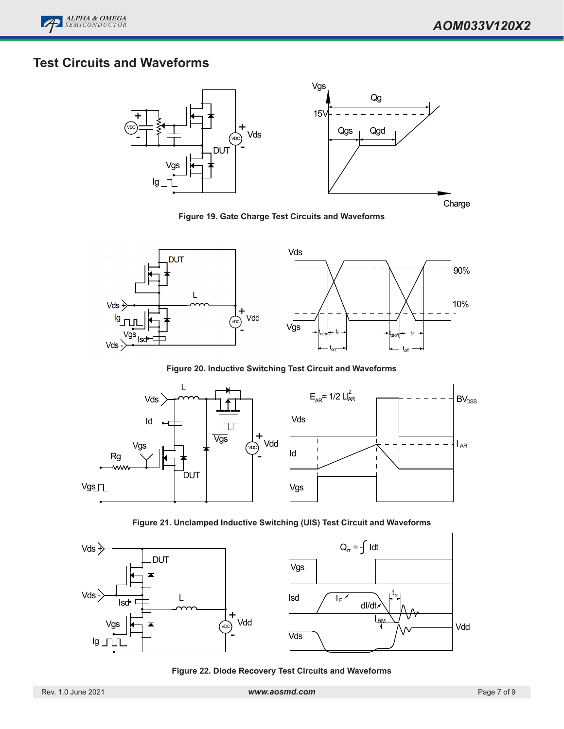# **Test Circuits and Waveforms**



**Figure 19. Gate Charge Test Circuits and Waveforms**



**Figure 20. Inductive Switching Test Circuit and Waveforms**

![](_page_6_Figure_7.jpeg)

**Figure 21. Unclamped Inductive Switching (UIS) Test Circuit and Waveforms**

![](_page_6_Figure_9.jpeg)

**Figure 22. Diode Recovery Test Circuits and Waveforms**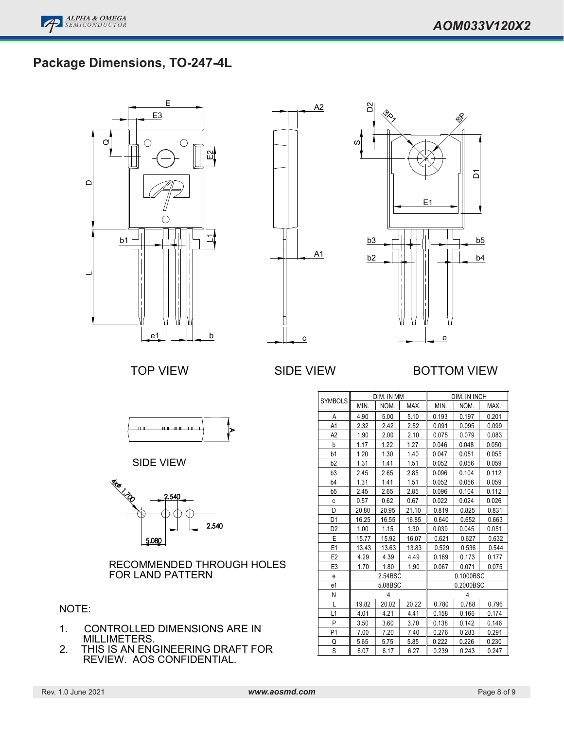![](_page_7_Picture_0.jpeg)

### $\overline{C}$  -  $\overline{C}$  package outline  $\overline{C}$ **Package Dimensions, TO-247-4L**

![](_page_7_Figure_3.jpeg)

![](_page_7_Figure_4.jpeg)

![](_page_7_Figure_5.jpeg)

### TOP VIEW SIDE VIEW BOTTOM VIEW

![](_page_7_Figure_9.jpeg)

SIDE VIEW

![](_page_7_Figure_11.jpeg)

RECOMMENDED THROUGH HOLES FOR LAND PATTERN

#### NOTE:

- 1. CONTROLLED DIMENSIONS ARE IN MILLIMETERS.
- 2. THIS IS AN ENGINEERING DRAFT FOR REVIEW. AOS CONFIDENTIAL.

| <b>SYMBOLS</b> | DIM. IN MM |       |       | DIM. IN INCH |           |       |  |
|----------------|------------|-------|-------|--------------|-----------|-------|--|
|                | MIN.       | NOM.  | MAX.  | MIN.         | NOM.      | MAX.  |  |
| Α              | 4.90       | 5.00  | 5.10  | 0.193        | 0.197     | 0.201 |  |
| A1             | 2.32       | 2.42  | 2.52  | 0.091        | 0.095     | 0.099 |  |
| A2             | 1.90       | 2.00  | 2.10  | 0.075        | 0.079     | 0.083 |  |
| b              | 1.17       | 1.22  | 1.27  | 0.046        | 0.048     | 0.050 |  |
| b1             | 1.20       | 1.30  | 1.40  | 0.047        | 0.051     | 0.055 |  |
| b <sub>2</sub> | 1.31       | 1.41  | 1.51  | 0.052        | 0.056     | 0.059 |  |
| b3             | 2.45       | 2.65  | 2.85  | 0.096        | 0.104     | 0.112 |  |
| b4             | 1.31       | 1.41  | 1.51  | 0.052        | 0.056     | 0.059 |  |
| b5             | 2.45       | 2.65  | 2.85  | 0.096        | 0.104     | 0.112 |  |
| C              | 0.57       | 0.62  | 0.67  | 0.022        | 0.024     | 0.026 |  |
| D              | 20.80      | 20.95 | 21.10 | 0.819        | 0.825     | 0.831 |  |
| D1             | 16.25      | 16.55 | 16.85 | 0.640        | 0.652     | 0.663 |  |
| D <sub>2</sub> | 1.00       | 1.15  | 1.30  | 0.039        | 0.045     | 0.051 |  |
| E              | 15.77      | 15.92 | 16.07 | 0.621        | 0.627     | 0.632 |  |
| E <sub>1</sub> | 13.43      | 13.63 | 13.83 | 0.529        | 0.536     | 0.544 |  |
| E <sub>2</sub> | 4.29       | 4.39  | 4.49  | 0.169        | 0.173     | 0.177 |  |
| E <sub>3</sub> | 1.70       | 1.80  | 1.90  | 0.067        | 0.071     | 0.075 |  |
| e              | 2.54BSC    |       |       |              | 0.1000BSC |       |  |
| e1             | 5.08BSC    |       |       |              | 0.2000BSC |       |  |
| N              | 4          |       |       |              | 4         |       |  |
| L              | 19.82      | 20.02 | 20.22 | 0.780        | 0.788     | 0.796 |  |
| L1             | 4.01       | 4.21  | 4.41  | 0.158        | 0.166     | 0.174 |  |
| P              | 3.50       | 3.60  | 3.70  | 0.138        | 0.142     | 0.146 |  |
| P <sub>1</sub> | 7.00       | 7.20  | 7.40  | 0.276        | 0.283     | 0.291 |  |
| Q              | 5.65       | 5.75  | 5.85  | 0.222        | 0.226     | 0.230 |  |
| S              | 6.07       | 6.17  | 6.27  | 0.239        | 0.243     | 0.247 |  |